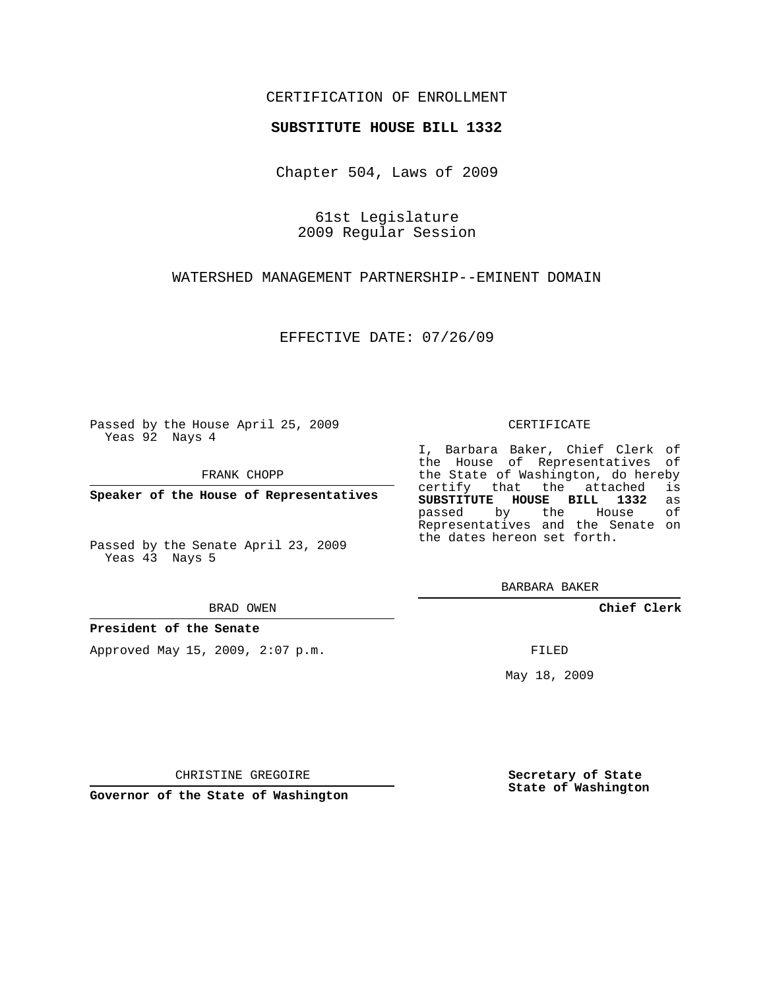# CERTIFICATION OF ENROLLMENT

## **SUBSTITUTE HOUSE BILL 1332**

Chapter 504, Laws of 2009

61st Legislature 2009 Regular Session

WATERSHED MANAGEMENT PARTNERSHIP--EMINENT DOMAIN

EFFECTIVE DATE: 07/26/09

Passed by the House April 25, 2009 Yeas 92 Nays 4

FRANK CHOPP

**Speaker of the House of Representatives**

Passed by the Senate April 23, 2009 Yeas 43 Nays 5

#### BRAD OWEN

## **President of the Senate**

Approved May 15, 2009, 2:07 p.m.

#### CERTIFICATE

I, Barbara Baker, Chief Clerk of the House of Representatives of the State of Washington, do hereby<br>certify that the attached is certify that the attached **SUBSTITUTE HOUSE BILL 1332** as passed by the Representatives and the Senate on the dates hereon set forth.

BARBARA BAKER

**Chief Clerk**

FILED

May 18, 2009

**Secretary of State State of Washington**

CHRISTINE GREGOIRE

**Governor of the State of Washington**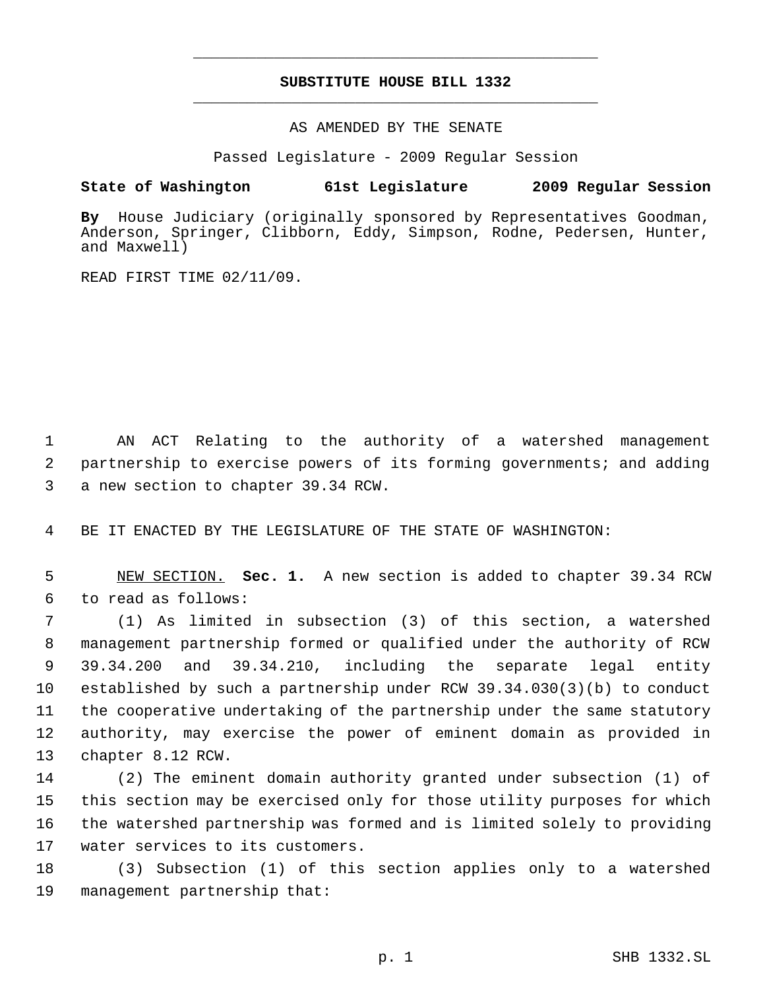# **SUBSTITUTE HOUSE BILL 1332** \_\_\_\_\_\_\_\_\_\_\_\_\_\_\_\_\_\_\_\_\_\_\_\_\_\_\_\_\_\_\_\_\_\_\_\_\_\_\_\_\_\_\_\_\_

\_\_\_\_\_\_\_\_\_\_\_\_\_\_\_\_\_\_\_\_\_\_\_\_\_\_\_\_\_\_\_\_\_\_\_\_\_\_\_\_\_\_\_\_\_

AS AMENDED BY THE SENATE

Passed Legislature - 2009 Regular Session

# **State of Washington 61st Legislature 2009 Regular Session**

**By** House Judiciary (originally sponsored by Representatives Goodman, Anderson, Springer, Clibborn, Eddy, Simpson, Rodne, Pedersen, Hunter, and Maxwell)

READ FIRST TIME 02/11/09.

 AN ACT Relating to the authority of a watershed management partnership to exercise powers of its forming governments; and adding a new section to chapter 39.34 RCW.

BE IT ENACTED BY THE LEGISLATURE OF THE STATE OF WASHINGTON:

 NEW SECTION. **Sec. 1.** A new section is added to chapter 39.34 RCW to read as follows:

 (1) As limited in subsection (3) of this section, a watershed management partnership formed or qualified under the authority of RCW 39.34.200 and 39.34.210, including the separate legal entity established by such a partnership under RCW 39.34.030(3)(b) to conduct the cooperative undertaking of the partnership under the same statutory authority, may exercise the power of eminent domain as provided in chapter 8.12 RCW.

 (2) The eminent domain authority granted under subsection (1) of this section may be exercised only for those utility purposes for which the watershed partnership was formed and is limited solely to providing water services to its customers.

 (3) Subsection (1) of this section applies only to a watershed management partnership that: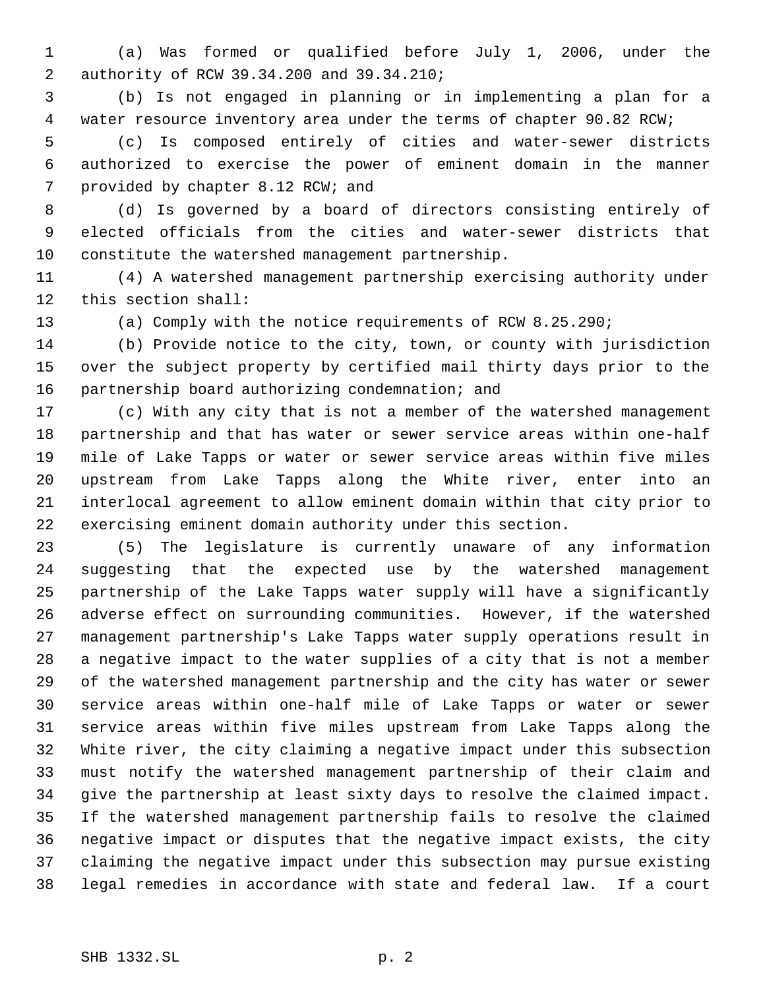(a) Was formed or qualified before July 1, 2006, under the authority of RCW 39.34.200 and 39.34.210;

 (b) Is not engaged in planning or in implementing a plan for a water resource inventory area under the terms of chapter 90.82 RCW;

 (c) Is composed entirely of cities and water-sewer districts authorized to exercise the power of eminent domain in the manner 7 provided by chapter 8.12 RCW; and

 (d) Is governed by a board of directors consisting entirely of elected officials from the cities and water-sewer districts that constitute the watershed management partnership.

 (4) A watershed management partnership exercising authority under this section shall:

(a) Comply with the notice requirements of RCW 8.25.290;

 (b) Provide notice to the city, town, or county with jurisdiction over the subject property by certified mail thirty days prior to the partnership board authorizing condemnation; and

 (c) With any city that is not a member of the watershed management partnership and that has water or sewer service areas within one-half mile of Lake Tapps or water or sewer service areas within five miles upstream from Lake Tapps along the White river, enter into an interlocal agreement to allow eminent domain within that city prior to exercising eminent domain authority under this section.

 (5) The legislature is currently unaware of any information suggesting that the expected use by the watershed management partnership of the Lake Tapps water supply will have a significantly adverse effect on surrounding communities. However, if the watershed management partnership's Lake Tapps water supply operations result in a negative impact to the water supplies of a city that is not a member of the watershed management partnership and the city has water or sewer service areas within one-half mile of Lake Tapps or water or sewer service areas within five miles upstream from Lake Tapps along the White river, the city claiming a negative impact under this subsection must notify the watershed management partnership of their claim and give the partnership at least sixty days to resolve the claimed impact. If the watershed management partnership fails to resolve the claimed negative impact or disputes that the negative impact exists, the city claiming the negative impact under this subsection may pursue existing legal remedies in accordance with state and federal law. If a court